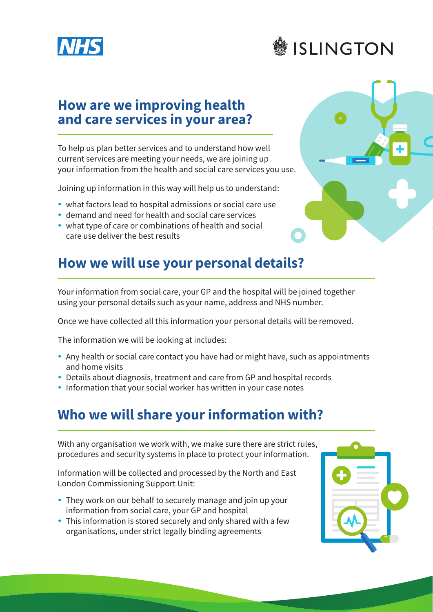



#### **How are we improving health and care services in your area?**

To help us plan better services and to understand how well current services are meeting your needs, we are joining up your information from the health and social care services you use.

Joining up information in this way will help us to understand:

- what factors lead to hospital admissions or social care use
- demand and need for health and social care services
- what type of care or combinations of health and social care use deliver the best results

### **How we will use your personal details?**

Your information from social care, your GP and the hospital will be joined together using your personal details such as your name, address and NHS number.

Once we have collected all this information your personal details will be removed.

The information we will be looking at includes:

- Any health or social care contact you have had or might have, such as appointments and home visits
- Details about diagnosis, treatment and care from GP and hospital records
- Information that your social worker has written in your case notes

## **Who we will share your information with?**

With any organisation we work with, we make sure there are strict rules, procedures and security systems in place to protect your information.

Information will be collected and processed by the North and East London Commissioning Support Unit:

- They work on our behalf to securely manage and join up your information from social care, your GP and hospital
- This information is stored securely and only shared with a few organisations, under strict legally binding agreements